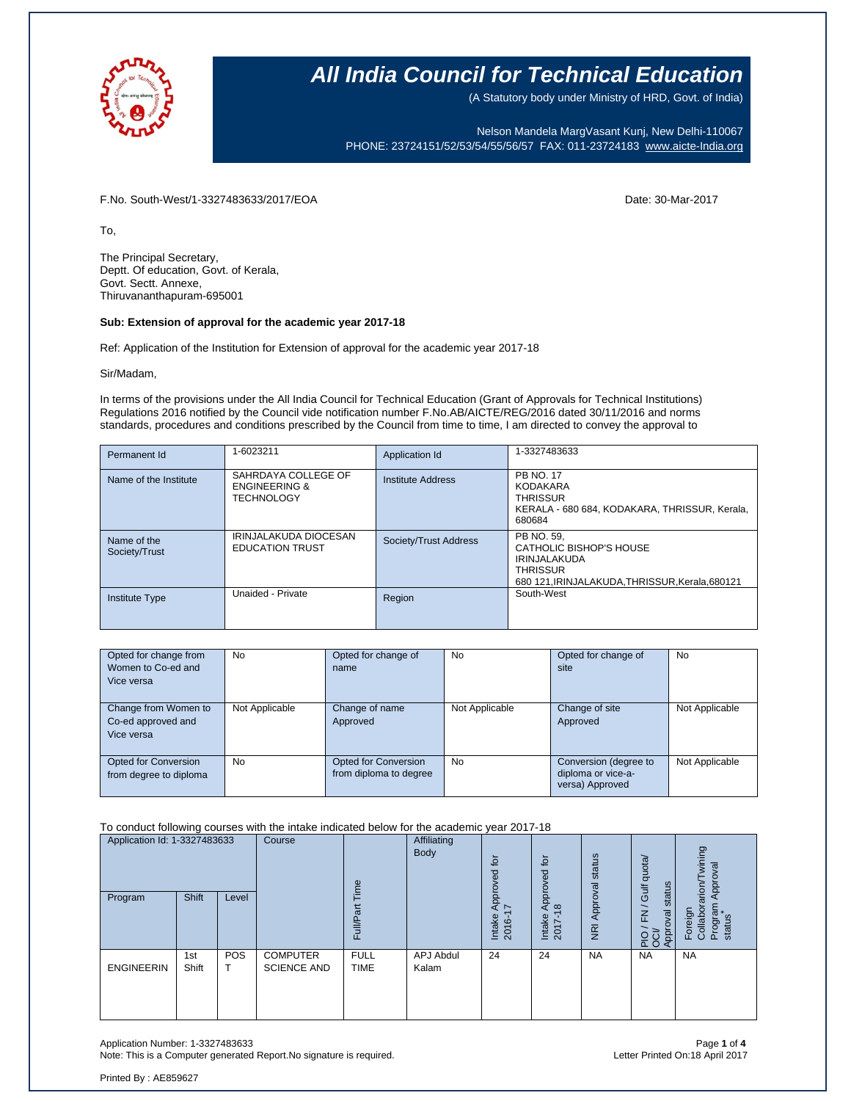

(A Statutory body under Ministry of HRD, Govt. of India)

Nelson Mandela MargVasant Kunj, New Delhi-110067 PHONE: 23724151/52/53/54/55/56/57 FAX: 011-23724183 [www.aicte-India.org](http://www.aicte-india.org/)

F.No. South-West/1-3327483633/2017/EOA Date: 30-Mar-2017

To,

The Principal Secretary, Deptt. Of education, Govt. of Kerala, Govt. Sectt. Annexe, Thiruvananthapuram-695001

#### **Sub: Extension of approval for the academic year 2017-18**

Ref: Application of the Institution for Extension of approval for the academic year 2017-18

Sir/Madam,

In terms of the provisions under the All India Council for Technical Education (Grant of Approvals for Technical Institutions) Regulations 2016 notified by the Council vide notification number F.No.AB/AICTE/REG/2016 dated 30/11/2016 and norms standards, procedures and conditions prescribed by the Council from time to time, I am directed to convey the approval to

| Permanent Id                 | 1-6023211                                                            | Application Id        | 1-3327483633                                                                                                                       |
|------------------------------|----------------------------------------------------------------------|-----------------------|------------------------------------------------------------------------------------------------------------------------------------|
| Name of the Institute        | SAHRDAYA COLLEGE OF<br><b>ENGINEERING &amp;</b><br><b>TECHNOLOGY</b> | Institute Address     | <b>PB NO. 17</b><br><b>KODAKARA</b><br><b>THRISSUR</b><br>KERALA - 680 684, KODAKARA, THRISSUR, Kerala,<br>680684                  |
| Name of the<br>Society/Trust | IRINJALAKUDA DIOCESAN<br><b>EDUCATION TRUST</b>                      | Society/Trust Address | PB NO. 59.<br>CATHOLIC BISHOP'S HOUSE<br><b>IRINJALAKUDA</b><br><b>THRISSUR</b><br>680 121. IRINJALAKUDA. THRISSUR. Kerala. 680121 |
| <b>Institute Type</b>        | Unaided - Private                                                    | Region                | South-West                                                                                                                         |

| Opted for change from  | No             | Opted for change of    | <b>No</b>      | Opted for change of   | <b>No</b>      |
|------------------------|----------------|------------------------|----------------|-----------------------|----------------|
| Women to Co-ed and     |                | name                   |                | site                  |                |
| Vice versa             |                |                        |                |                       |                |
|                        |                |                        |                |                       |                |
| Change from Women to   | Not Applicable | Change of name         | Not Applicable | Change of site        | Not Applicable |
| Co-ed approved and     |                | Approved               |                | Approved              |                |
| Vice versa             |                |                        |                |                       |                |
|                        |                |                        |                |                       |                |
| Opted for Conversion   | No             | Opted for Conversion   | <b>No</b>      | Conversion (degree to | Not Applicable |
| from degree to diploma |                | from diploma to degree |                | diploma or vice-a-    |                |
|                        |                |                        |                | versa) Approved       |                |

#### To conduct following courses with the intake indicated below for the academic year 2017-18

| Application Id: 1-3327483633<br>Program | Shift        | Level           | Course                                | ime<br>೯<br>FullA          | Affiliating<br>Body | for<br>Approved<br>I7<br>Intake<br>2016- | $\overline{5}$<br>pproved<br>∢<br>$\frac{\infty}{2}$<br>Intake<br>2017 | status<br><b>NRI Approval</b> | quota/<br>status<br>Gulf<br>$\overline{\phantom{0}}$<br>$\overline{\epsilon}$<br>PIO / FN<br>OCI/<br>Approval | wining<br>Approval<br>arion<br>Program<br>status<br>Foreign<br>Collabor: |
|-----------------------------------------|--------------|-----------------|---------------------------------------|----------------------------|---------------------|------------------------------------------|------------------------------------------------------------------------|-------------------------------|---------------------------------------------------------------------------------------------------------------|--------------------------------------------------------------------------|
| <b>ENGINEERIN</b>                       | 1st<br>Shift | <b>POS</b><br>т | <b>COMPUTER</b><br><b>SCIENCE AND</b> | <b>FULL</b><br><b>TIME</b> | APJ Abdul<br>Kalam  | 24                                       | 24                                                                     | <b>NA</b>                     | <b>NA</b>                                                                                                     | <b>NA</b>                                                                |

Application Number: 1-3327483633 Page **1** of **4** Note: This is a Computer generated Report.No signature is required.

Printed By : AE859627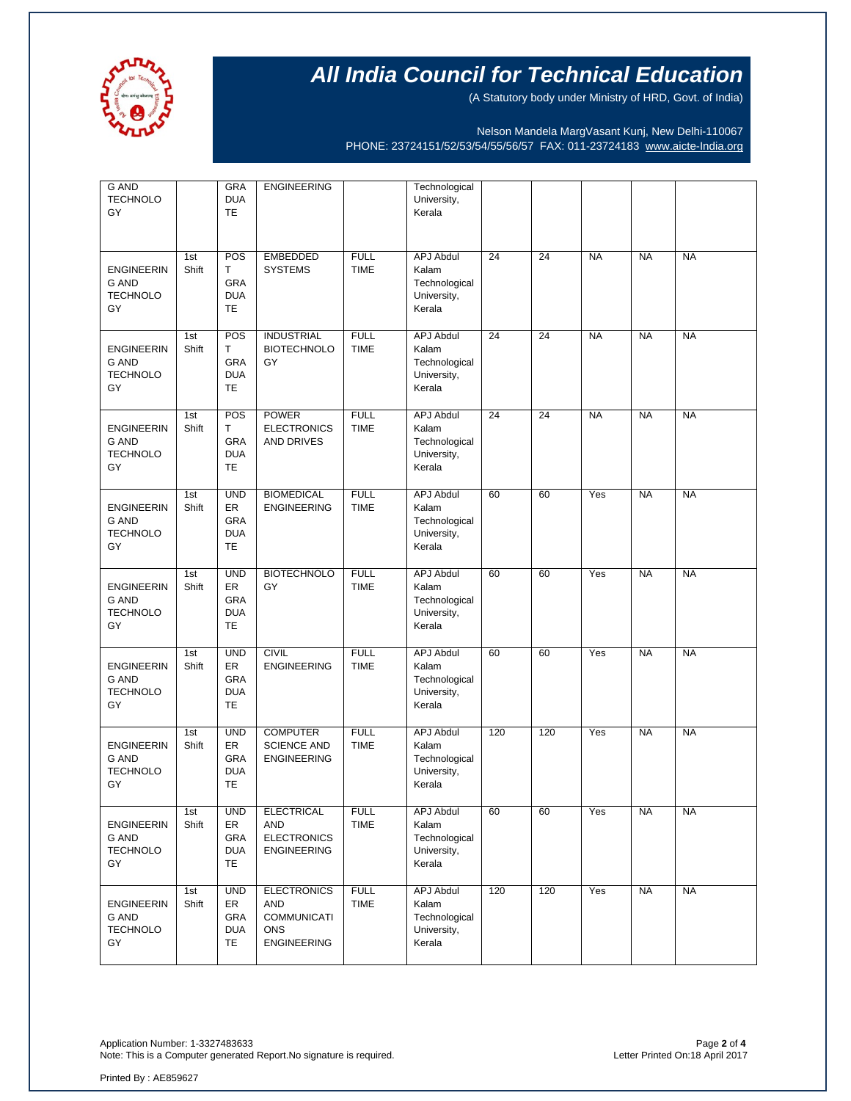

(A Statutory body under Ministry of HRD, Govt. of India)

Nelson Mandela MargVasant Kunj, New Delhi-110067 PHONE: 23724151/52/53/54/55/56/57 FAX: 011-23724183 [www.aicte-India.org](http://www.aicte-india.org/)

| <b>G AND</b><br><b>TECHNOLO</b><br>GY                      |              | <b>GRA</b><br><b>DUA</b><br><b>TE</b>              | <b>ENGINEERING</b>                                                                  |                            | Technological<br>University,<br>Kerala                              |     |     |           |           |           |
|------------------------------------------------------------|--------------|----------------------------------------------------|-------------------------------------------------------------------------------------|----------------------------|---------------------------------------------------------------------|-----|-----|-----------|-----------|-----------|
| <b>ENGINEERIN</b><br>G AND<br><b>TECHNOLO</b><br>GY        | 1st<br>Shift | POS<br>T.<br>GRA<br><b>DUA</b><br>TE               | <b>EMBEDDED</b><br><b>SYSTEMS</b>                                                   | <b>FULL</b><br><b>TIME</b> | <b>APJ Abdul</b><br>Kalam<br>Technological<br>University,<br>Kerala | 24  | 24  | <b>NA</b> | <b>NA</b> | <b>NA</b> |
| <b>ENGINEERIN</b><br><b>G AND</b><br><b>TECHNOLO</b><br>GY | 1st<br>Shift | POS<br>Т<br>GRA<br><b>DUA</b><br><b>TE</b>         | <b>INDUSTRIAL</b><br><b>BIOTECHNOLO</b><br>GY                                       | <b>FULL</b><br><b>TIME</b> | <b>APJ Abdul</b><br>Kalam<br>Technological<br>University,<br>Kerala | 24  | 24  | <b>NA</b> | <b>NA</b> | <b>NA</b> |
| <b>ENGINEERIN</b><br><b>G AND</b><br><b>TECHNOLO</b><br>GY | 1st<br>Shift | POS<br>T<br>GRA<br><b>DUA</b><br>TE                | <b>POWER</b><br><b>ELECTRONICS</b><br>AND DRIVES                                    | <b>FULL</b><br><b>TIME</b> | <b>APJ Abdul</b><br>Kalam<br>Technological<br>University,<br>Kerala | 24  | 24  | <b>NA</b> | <b>NA</b> | <b>NA</b> |
| <b>ENGINEERIN</b><br><b>G AND</b><br><b>TECHNOLO</b><br>GY | 1st<br>Shift | <b>UND</b><br>ER<br>GRA<br><b>DUA</b><br>TE        | <b>BIOMEDICAL</b><br><b>ENGINEERING</b>                                             | <b>FULL</b><br><b>TIME</b> | <b>APJ Abdul</b><br>Kalam<br>Technological<br>University,<br>Kerala | 60  | 60  | Yes       | <b>NA</b> | <b>NA</b> |
| <b>ENGINEERIN</b><br><b>G AND</b><br><b>TECHNOLO</b><br>GY | 1st<br>Shift | <b>UND</b><br>ER<br><b>GRA</b><br><b>DUA</b><br>TE | <b>BIOTECHNOLO</b><br>GY                                                            | <b>FULL</b><br><b>TIME</b> | <b>APJ Abdul</b><br>Kalam<br>Technological<br>University,<br>Kerala | 60  | 60  | Yes       | <b>NA</b> | <b>NA</b> |
| <b>ENGINEERIN</b><br><b>G AND</b><br><b>TECHNOLO</b><br>GY | 1st<br>Shift | <b>UND</b><br>ER<br>GRA<br><b>DUA</b><br>TE        | <b>CIVIL</b><br><b>ENGINEERING</b>                                                  | <b>FULL</b><br><b>TIME</b> | <b>APJ Abdul</b><br>Kalam<br>Technological<br>University,<br>Kerala | 60  | 60  | Yes       | <b>NA</b> | <b>NA</b> |
| <b>ENGINEERIN</b><br><b>G AND</b><br><b>TECHNOLO</b><br>GY | 1st<br>Shift | <b>UND</b><br>ER<br>GRA<br><b>DUA</b><br>TE        | <b>COMPUTER</b><br><b>SCIENCE AND</b><br><b>ENGINEERING</b>                         | <b>FULL</b><br><b>TIME</b> | <b>APJ Abdul</b><br>Kalam<br>Technological<br>University,<br>Kerala | 120 | 120 | Yes       | <b>NA</b> | <b>NA</b> |
| <b>ENGINEERIN</b><br>G AND<br><b>TECHNOLO</b><br>GY        | 1st<br>Shift | <b>UND</b><br>ER<br>GRA<br><b>DUA</b><br>TE        | <b>ELECTRICAL</b><br><b>AND</b><br><b>ELECTRONICS</b><br><b>ENGINEERING</b>         | <b>FULL</b><br><b>TIME</b> | APJ Abdul<br>Kalam<br>Technological<br>University,<br>Kerala        | 60  | 60  | Yes       | <b>NA</b> | <b>NA</b> |
| <b>ENGINEERIN</b><br>G AND<br><b>TECHNOLO</b><br>GY        | 1st<br>Shift | <b>UND</b><br>ER<br>GRA<br><b>DUA</b><br>TE        | <b>ELECTRONICS</b><br>AND<br><b>COMMUNICATI</b><br><b>ONS</b><br><b>ENGINEERING</b> | <b>FULL</b><br><b>TIME</b> | <b>APJ Abdul</b><br>Kalam<br>Technological<br>University,<br>Kerala | 120 | 120 | Yes       | <b>NA</b> | <b>NA</b> |

Application Number: 1-3327483633 Page **2** of **4** Note: This is a Computer generated Report.No signature is required.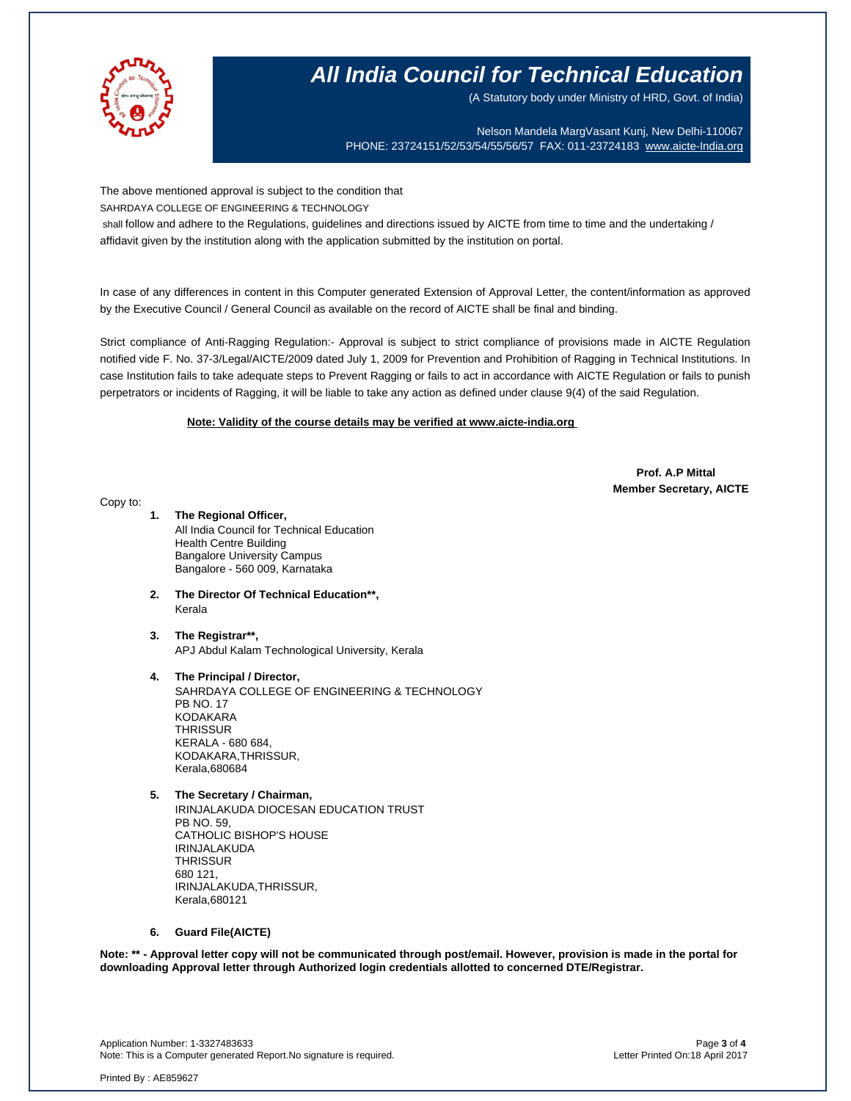

(A Statutory body under Ministry of HRD, Govt. of India)

Nelson Mandela MargVasant Kunj, New Delhi-110067 PHONE: 23724151/52/53/54/55/56/57 FAX: 011-23724183 [www.aicte-India.org](http://www.aicte-india.org/)

The above mentioned approval is subject to the condition that SAHRDAYA COLLEGE OF ENGINEERING & TECHNOLOGY

shall follow and adhere to the Regulations, guidelines and directions issued by AICTE from time to time and the undertaking /

affidavit given by the institution along with the application submitted by the institution on portal.

In case of any differences in content in this Computer generated Extension of Approval Letter, the content/information as approved by the Executive Council / General Council as available on the record of AICTE shall be final and binding.

Strict compliance of Anti-Ragging Regulation:- Approval is subject to strict compliance of provisions made in AICTE Regulation notified vide F. No. 37-3/Legal/AICTE/2009 dated July 1, 2009 for Prevention and Prohibition of Ragging in Technical Institutions. In case Institution fails to take adequate steps to Prevent Ragging or fails to act in accordance with AICTE Regulation or fails to punish perpetrators or incidents of Ragging, it will be liable to take any action as defined under clause 9(4) of the said Regulation.

### **Note: Validity of the course details may be verified at www.aicte-india.org**

 **Prof. A.P Mittal Member Secretary, AICTE**

Copy to:

- **1. The Regional Officer,** All India Council for Technical Education Health Centre Building Bangalore University Campus Bangalore - 560 009, Karnataka
- **2. The Director Of Technical Education\*\*,** Kerala
- **3. The Registrar\*\*,** APJ Abdul Kalam Technological University, Kerala

### **4. The Principal / Director,**

SAHRDAYA COLLEGE OF ENGINEERING & TECHNOLOGY PB NO. 17 KODAKARA **THRISSUR** KERALA - 680 684, KODAKARA,THRISSUR, Kerala,680684

**5. The Secretary / Chairman,**

IRINJALAKUDA DIOCESAN EDUCATION TRUST PB NO. 59, CATHOLIC BISHOP'S HOUSE IRINJALAKUDA **THRISSUR** 680 121, IRINJALAKUDA,THRISSUR, Kerala,680121

### **6. Guard File(AICTE)**

**Note: \*\* - Approval letter copy will not be communicated through post/email. However, provision is made in the portal for downloading Approval letter through Authorized login credentials allotted to concerned DTE/Registrar.** 

Application Number: 1-3327483633 Page **3** of **4** Note: This is a Computer generated Report.No signature is required.